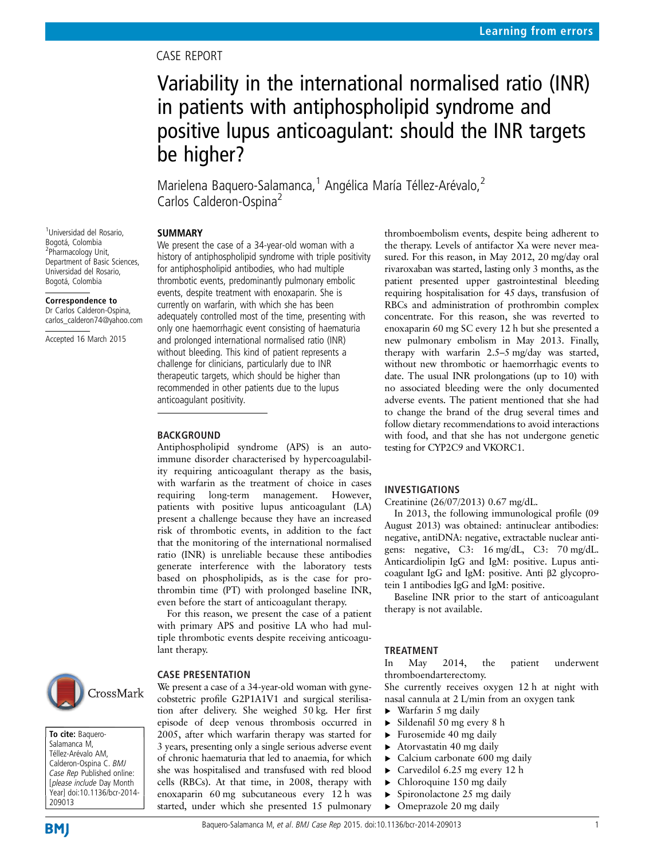# CASE REPORT

# Variability in the international normalised ratio (INR) in patients with antiphospholipid syndrome and positive lupus anticoagulant: should the INR targets be higher?

Marielena Baquero-Salamanca,<sup>1</sup> Angélica María Téllez-Arévalo,<sup>2</sup> Carlos Calderon-Ospina<sup>2</sup>

## SUMMARY

1 Universidad del Rosario, Bogotá, Colombia <sup>2</sup>Pharmacology Unit, Department of Basic Sciences, Universidad del Rosario, Bogotá, Colombia

#### Correspondence to

Dr Carlos Calderon-Ospina carlos\_calderon74@yahoo.com

Accepted 16 March 2015

We present the case of a 34-year-old woman with a history of antiphospholipid syndrome with triple positivity for antiphospholipid antibodies, who had multiple thrombotic events, predominantly pulmonary embolic events, despite treatment with enoxaparin. She is currently on warfarin, with which she has been adequately controlled most of the time, presenting with only one haemorrhagic event consisting of haematuria and prolonged international normalised ratio (INR) without bleeding. This kind of patient represents a challenge for clinicians, particularly due to INR therapeutic targets, which should be higher than recommended in other patients due to the lupus anticoagulant positivity.

#### BACKGROUND

Antiphospholipid syndrome (APS) is an autoimmune disorder characterised by hypercoagulability requiring anticoagulant therapy as the basis, with warfarin as the treatment of choice in cases requiring long-term management. However, patients with positive lupus anticoagulant (LA) present a challenge because they have an increased risk of thrombotic events, in addition to the fact that the monitoring of the international normalised ratio (INR) is unreliable because these antibodies generate interference with the laboratory tests based on phospholipids, as is the case for prothrombin time (PT) with prolonged baseline INR, even before the start of anticoagulant therapy.

For this reason, we present the case of a patient with primary APS and positive LA who had multiple thrombotic events despite receiving anticoagulant therapy.



To cite: Baquero-Salamanca M, Téllez-Arévalo AM, Calderon-Ospina C. BMJ Case Rep Published online: [please include Day Month Year] doi:10.1136/bcr-2014-

#### CASE PRESENTATION

We present a case of a 34-year-old woman with gynecobstetric profile G2P1A1V1 and surgical sterilisation after delivery. She weighed 50 kg. Her first episode of deep venous thrombosis occurred in 2005, after which warfarin therapy was started for 3 years, presenting only a single serious adverse event of chronic haematuria that led to anaemia, for which she was hospitalised and transfused with red blood cells (RBCs). At that time, in 2008, therapy with enoxaparin 60 mg subcutaneous every 12 h was started, under which she presented 15 pulmonary

thromboembolism events, despite being adherent to the therapy. Levels of antifactor Xa were never measured. For this reason, in May 2012, 20 mg/day oral rivaroxaban was started, lasting only 3 months, as the patient presented upper gastrointestinal bleeding requiring hospitalisation for 45 days, transfusion of RBCs and administration of prothrombin complex concentrate. For this reason, she was reverted to enoxaparin 60 mg SC every 12 h but she presented a new pulmonary embolism in May 2013. Finally, therapy with warfarin 2.5–5 mg/day was started, without new thrombotic or haemorrhagic events to date. The usual INR prolongations (up to 10) with no associated bleeding were the only documented adverse events. The patient mentioned that she had to change the brand of the drug several times and follow dietary recommendations to avoid interactions with food, and that she has not undergone genetic testing for CYP2C9 and VKORC1.

## INVESTIGATIONS

Creatinine (26/07/2013) 0.67 mg/dL.

In 2013, the following immunological profile (09 August 2013) was obtained: antinuclear antibodies: negative, antiDNA: negative, extractable nuclear antigens: negative, C3: 16 mg/dL, C3: 70 mg/dL. Anticardiolipin IgG and IgM: positive. Lupus anticoagulant IgG and IgM: positive. Anti β2 glycoprotein 1 antibodies IgG and IgM: positive.

Baseline INR prior to the start of anticoagulant therapy is not available.

#### TREATMENT

In May 2014, the patient underwent thromboendarterectomy.

She currently receives oxygen 12 h at night with nasal cannula at 2 L/min from an oxygen tank

- $\triangleright$  Warfarin 5 mg daily
- ▸ Sildenafil 50 mg every 8 h
- ▸ Furosemide 40 mg daily
- ▸ Atorvastatin 40 mg daily
- $\blacktriangleright$  Calcium carbonate 600 mg daily
- $\triangleright$  Carvedilol 6.25 mg every 12 h
- $\blacktriangleright$  Chloroquine 150 mg daily
- ▸ Spironolactone 25 mg daily
- ▸ Omeprazole 20 mg daily

209013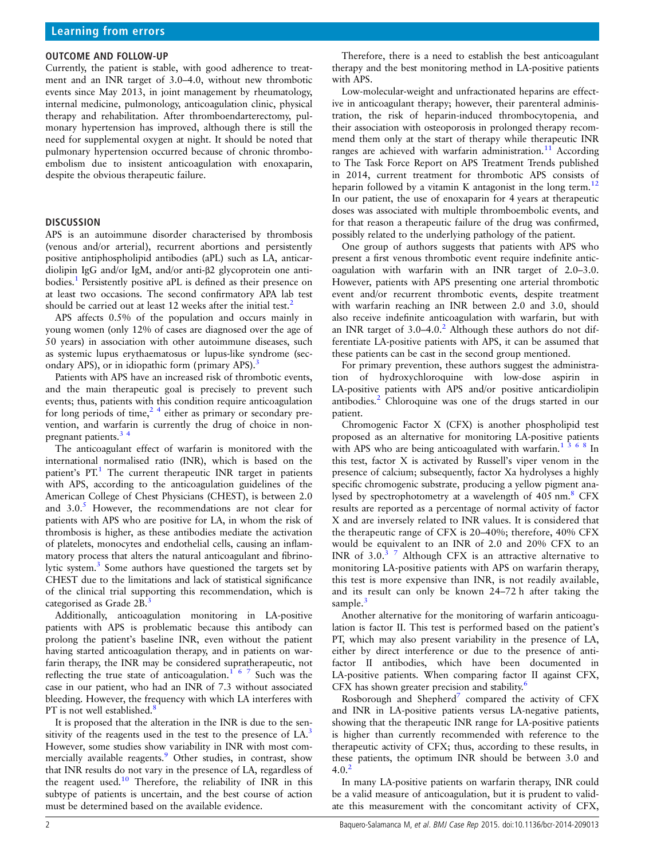#### OUTCOME AND FOLLOW-UP

Currently, the patient is stable, with good adherence to treatment and an INR target of 3.0–4.0, without new thrombotic events since May 2013, in joint management by rheumatology, internal medicine, pulmonology, anticoagulation clinic, physical therapy and rehabilitation. After thromboendarterectomy, pulmonary hypertension has improved, although there is still the need for supplemental oxygen at night. It should be noted that pulmonary hypertension occurred because of chronic thromboembolism due to insistent anticoagulation with enoxaparin, despite the obvious therapeutic failure.

#### **DISCUSSION**

APS is an autoimmune disorder characterised by thrombosis (venous and/or arterial), recurrent abortions and persistently positive antiphospholipid antibodies (aPL) such as LA, anticardiolipin IgG and/or IgM, and/or anti-β2 glycoprotein one antibodies.[1](#page-3-0) Persistently positive aPL is defined as their presence on at least two occasions. The second confirmatory APA lab test should be carried out at least 1[2](#page-3-0) weeks after the initial test.<sup>2</sup>

APS affects 0.5% of the population and occurs mainly in young women (only 12% of cases are diagnosed over the age of 50 years) in association with other autoimmune diseases, such as systemic lupus erythaematosus or lupus-like syndrome (sec-ondary APS), or in idiopathic form (primary APS).<sup>[3](#page-3-0)</sup>

Patients with APS have an increased risk of thrombotic events, and the main therapeutic goal is precisely to prevent such events; thus, patients with this condition require anticoagulation for long periods of time,<sup>24</sup> either as primary or secondary prevention, and warfarin is currently the drug of choice in nonpregnant patients.[3 4](#page-3-0)

The anticoagulant effect of warfarin is monitored with the international normalised ratio (INR), which is based on the patient's  $PT<sup>1</sup>$  $PT<sup>1</sup>$  $PT<sup>1</sup>$ . The current therapeutic INR target in patients with APS, according to the anticoagulation guidelines of the American College of Chest Physicians (CHEST), is between 2.0 and  $3.0<sup>5</sup>$  $3.0<sup>5</sup>$  $3.0<sup>5</sup>$  However, the recommendations are not clear for patients with APS who are positive for LA, in whom the risk of thrombosis is higher, as these antibodies mediate the activation of platelets, monocytes and endothelial cells, causing an inflammatory process that alters the natural anticoagulant and fibrinolytic system.<sup>3</sup> Some authors have questioned the targets set by CHEST due to the limitations and lack of statistical significance of the clinical trial supporting this recommendation, which is categorised as Grade 2B.<sup>[3](#page-3-0)</sup>

Additionally, anticoagulation monitoring in LA-positive patients with APS is problematic because this antibody can prolong the patient's baseline INR, even without the patient having started anticoagulation therapy, and in patients on warfarin therapy, the INR may be considered supratherapeutic, not reflecting the true state of anticoagulation.<sup>[167](#page-3-0)</sup> Such was the case in our patient, who had an INR of 7.3 without associated bleeding. However, the frequency with which LA interferes with PT is not well established. $\frac{8}{3}$  $\frac{8}{3}$  $\frac{8}{3}$ 

It is proposed that the alteration in the INR is due to the sen-sitivity of the reagents used in the test to the presence of LA.<sup>[3](#page-3-0)</sup> However, some studies show variability in INR with most com-mercially available reagents.<sup>[9](#page-3-0)</sup> Other studies, in contrast, show that INR results do not vary in the presence of LA, regardless of the reagent used.<sup>[10](#page-3-0)</sup> Therefore, the reliability of INR in this subtype of patients is uncertain, and the best course of action must be determined based on the available evidence.

Therefore, there is a need to establish the best anticoagulant therapy and the best monitoring method in LA-positive patients with APS.

Low-molecular-weight and unfractionated heparins are effective in anticoagulant therapy; however, their parenteral administration, the risk of heparin-induced thrombocytopenia, and their association with osteoporosis in prolonged therapy recommend them only at the start of therapy while therapeutic INR ranges are achieved with warfarin administration.<sup>[11](#page-3-0)</sup> According to The Task Force Report on APS Treatment Trends published in 2014, current treatment for thrombotic APS consists of heparin followed by a vitamin K antagonist in the long term.<sup>[12](#page-3-0)</sup> In our patient, the use of enoxaparin for 4 years at therapeutic doses was associated with multiple thromboembolic events, and for that reason a therapeutic failure of the drug was confirmed, possibly related to the underlying pathology of the patient.

One group of authors suggests that patients with APS who present a first venous thrombotic event require indefinite anticoagulation with warfarin with an INR target of 2.0–3.0. However, patients with APS presenting one arterial thrombotic event and/or recurrent thrombotic events, despite treatment with warfarin reaching an INR between 2.0 and 3.0, should also receive indefinite anticoagulation with warfarin, but with an INR target of  $3.0-4.0$ .<sup>[2](#page-3-0)</sup> Although these authors do not differentiate LA-positive patients with APS, it can be assumed that these patients can be cast in the second group mentioned.

For primary prevention, these authors suggest the administration of hydroxychloroquine with low-dose aspirin in LA-positive patients with APS and/or positive anticardiolipin antibodies.<sup>[2](#page-3-0)</sup> Chloroquine was one of the drugs started in our patient.

Chromogenic Factor X (CFX) is another phospholipid test proposed as an alternative for monitoring LA-positive patients with APS who are being anticoagulated with warfarin.<sup>[1368](#page-3-0)</sup> In this test, factor X is activated by Russell's viper venom in the presence of calcium; subsequently, factor Xa hydrolyses a highly specific chromogenic substrate, producing a yellow pigment analysed by spectrophotometry at a wavelength of 405 nm.<sup>8</sup> CFX results are reported as a percentage of normal activity of factor X and are inversely related to INR values. It is considered that the therapeutic range of CFX is 20–40%; therefore, 40% CFX would be equivalent to an INR of 2.0 and 20% CFX to an INR of  $3.0<sup>3</sup>$  7 Although CFX is an attractive alternative to monitoring LA-positive patients with APS on warfarin therapy, this test is more expensive than INR, is not readily available, and its result can only be known 24–72 h after taking the sample. $3$ 

Another alternative for the monitoring of warfarin anticoagulation is factor II. This test is performed based on the patient's PT, which may also present variability in the presence of LA, either by direct interference or due to the presence of antifactor II antibodies, which have been documented in LA-positive patients. When comparing factor II against CFX, CFX has shown greater precision and stability.<sup>[6](#page-3-0)</sup>

Rosborough and Shepherd<sup>[7](#page-3-0)</sup> compared the activity of CFX and INR in LA-positive patients versus LA-negative patients, showing that the therapeutic INR range for LA-positive patients is higher than currently recommended with reference to the therapeutic activity of CFX; thus, according to these results, in these patients, the optimum INR should be between 3.0 and  $4.0.2$  $4.0.2$ 

In many LA-positive patients on warfarin therapy, INR could be a valid measure of anticoagulation, but it is prudent to validate this measurement with the concomitant activity of CFX,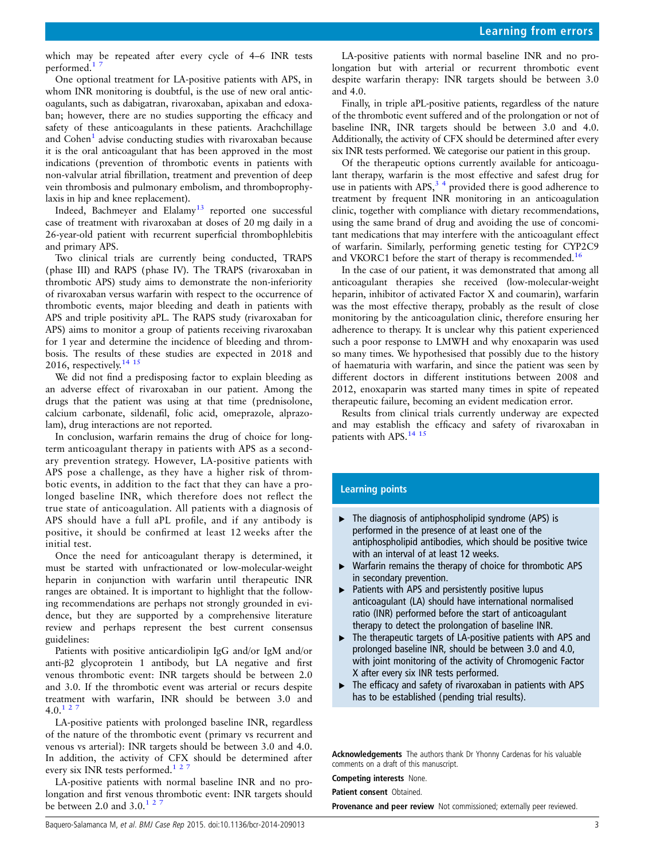which may be repeated after every cycle of 4–6 INR tests performed.<sup>1</sup>

One optional treatment for LA-positive patients with APS, in whom INR monitoring is doubtful, is the use of new oral anticoagulants, such as dabigatran, rivaroxaban, apixaban and edoxaban; however, there are no studies supporting the efficacy and safety of these anticoagulants in these patients. Arachchillage and Cohen<sup>1</sup> advise conducting studies with rivaroxaban because it is the oral anticoagulant that has been approved in the most indications (prevention of thrombotic events in patients with non-valvular atrial fibrillation, treatment and prevention of deep vein thrombosis and pulmonary embolism, and thromboprophylaxis in hip and knee replacement).

Indeed, Bachmeyer and Elalamy<sup>13</sup> reported one successful case of treatment with rivaroxaban at doses of 20 mg daily in a 26-year-old patient with recurrent superficial thrombophlebitis and primary APS.

Two clinical trials are currently being conducted, TRAPS (phase III) and RAPS (phase IV). The TRAPS (rivaroxaban in thrombotic APS) study aims to demonstrate the non-inferiority of rivaroxaban versus warfarin with respect to the occurrence of thrombotic events, major bleeding and death in patients with APS and triple positivity aPL. The RAPS study (rivaroxaban for APS) aims to monitor a group of patients receiving rivaroxaban for 1 year and determine the incidence of bleeding and thrombosis. The results of these studies are expected in 2018 and 2016, respectively. $14 \frac{15}{15}$ 

We did not find a predisposing factor to explain bleeding as an adverse effect of rivaroxaban in our patient. Among the drugs that the patient was using at that time (prednisolone, calcium carbonate, sildenafil, folic acid, omeprazole, alprazolam), drug interactions are not reported.

In conclusion, warfarin remains the drug of choice for longterm anticoagulant therapy in patients with APS as a secondary prevention strategy. However, LA-positive patients with APS pose a challenge, as they have a higher risk of thrombotic events, in addition to the fact that they can have a prolonged baseline INR, which therefore does not reflect the true state of anticoagulation. All patients with a diagnosis of APS should have a full aPL profile, and if any antibody is positive, it should be confirmed at least 12 weeks after the initial test.

Once the need for anticoagulant therapy is determined, it must be started with unfractionated or low-molecular-weight heparin in conjunction with warfarin until therapeutic INR ranges are obtained. It is important to highlight that the following recommendations are perhaps not strongly grounded in evidence, but they are supported by a comprehensive literature review and perhaps represent the best current consensus guidelines:

Patients with positive anticardiolipin IgG and/or IgM and/or anti-β2 glycoprotein 1 antibody, but LA negative and first venous thrombotic event: INR targets should be between 2.0 and 3.0. If the thrombotic event was arterial or recurs despite treatment with warfarin, INR should be between 3.0 and  $4.0^{127}$  $4.0^{127}$  $4.0^{127}$ 

LA-positive patients with prolonged baseline INR, regardless of the nature of the thrombotic event (primary vs recurrent and venous vs arterial): INR targets should be between 3.0 and 4.0. In addition, the activity of CFX should be determined after every six INR tests performed.<sup>127</sup>

LA-positive patients with normal baseline INR and no prolongation and first venous thrombotic event: INR targets should be between 2.0 and  $3.0<sup>127</sup>$  $3.0<sup>127</sup>$  $3.0<sup>127</sup>$ 

LA-positive patients with normal baseline INR and no prolongation but with arterial or recurrent thrombotic event despite warfarin therapy: INR targets should be between 3.0 and 4.0.

Finally, in triple aPL-positive patients, regardless of the nature of the thrombotic event suffered and of the prolongation or not of baseline INR, INR targets should be between 3.0 and 4.0. Additionally, the activity of CFX should be determined after every six INR tests performed. We categorise our patient in this group.

Of the therapeutic options currently available for anticoagulant therapy, warfarin is the most effective and safest drug for use in patients with APS, $3<sup>4</sup>$  provided there is good adherence to treatment by frequent INR monitoring in an anticoagulation clinic, together with compliance with dietary recommendations, using the same brand of drug and avoiding the use of concomitant medications that may interfere with the anticoagulant effect of warfarin. Similarly, performing genetic testing for CYP2C9 and VKORC1 before the start of therapy is recommended.<sup>[16](#page-3-0)</sup>

In the case of our patient, it was demonstrated that among all anticoagulant therapies she received (low-molecular-weight heparin, inhibitor of activated Factor X and coumarin), warfarin was the most effective therapy, probably as the result of close monitoring by the anticoagulation clinic, therefore ensuring her adherence to therapy. It is unclear why this patient experienced such a poor response to LMWH and why enoxaparin was used so many times. We hypothesised that possibly due to the history of haematuria with warfarin, and since the patient was seen by different doctors in different institutions between 2008 and 2012, enoxaparin was started many times in spite of repeated therapeutic failure, becoming an evident medication error.

Results from clinical trials currently underway are expected and may establish the efficacy and safety of rivaroxaban in patients with APS.<sup>[14 15](#page-3-0)</sup>

#### Learning points

- ▸ The diagnosis of antiphospholipid syndrome (APS) is performed in the presence of at least one of the antiphospholipid antibodies, which should be positive twice with an interval of at least 12 weeks.
- ▸ Warfarin remains the therapy of choice for thrombotic APS in secondary prevention.
- $\blacktriangleright$  Patients with APS and persistently positive lupus anticoagulant (LA) should have international normalised ratio (INR) performed before the start of anticoagulant therapy to detect the prolongation of baseline INR.
- ▸ The therapeutic targets of LA-positive patients with APS and prolonged baseline INR, should be between 3.0 and 4.0, with joint monitoring of the activity of Chromogenic Factor X after every six INR tests performed.
- ▶ The efficacy and safety of rivaroxaban in patients with APS has to be established (pending trial results).

Acknowledgements The authors thank Dr Yhonny Cardenas for his valuable comments on a draft of this manuscript.

Competing interests None.

Patient consent Obtained.

**Provenance and peer review** Not commissioned; externally peer reviewed.